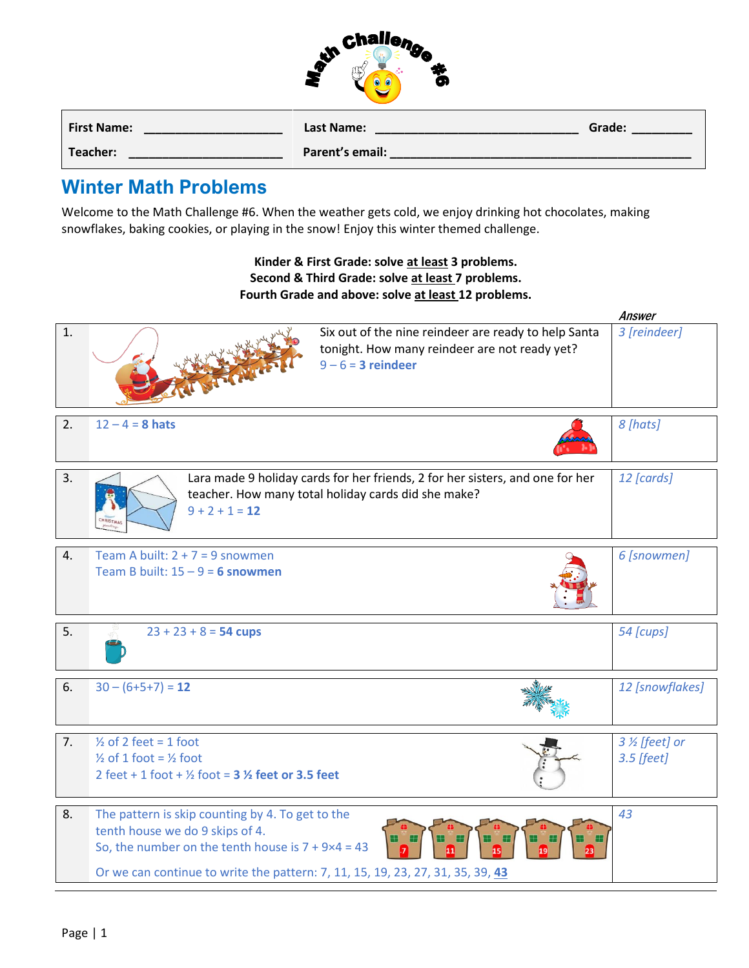| challeng, |   |  |
|-----------|---|--|
|           | т |  |
|           |   |  |

| <b>First Name:</b> | Last Name:      | Grade: |
|--------------------|-----------------|--------|
| Teacher:           | Parent's email: |        |

## **Winter Math Problems**

Welcome to the Math Challenge #6. When the weather gets cold, we enjoy drinking hot chocolates, making snowflakes, baking cookies, or playing in the snow! Enjoy this winter themed challenge.

## **Kinder & First Grade: solve at least 3 problems. Second & Third Grade: solve at least 7 problems. Fourth Grade and above: solve at least 12 problems.**

|    |                                                                                                                                                                                                                                     |                                                                                                                                      | Answer                        |
|----|-------------------------------------------------------------------------------------------------------------------------------------------------------------------------------------------------------------------------------------|--------------------------------------------------------------------------------------------------------------------------------------|-------------------------------|
| 1. |                                                                                                                                                                                                                                     | Six out of the nine reindeer are ready to help Santa<br>tonight. How many reindeer are not ready yet?<br>$9 - 6 = 3$ reindeer        | 3 [reindeer]                  |
| 2. | $12 - 4 = 8$ hats                                                                                                                                                                                                                   |                                                                                                                                      | 8 [hats]                      |
| 3. | $9 + 2 + 1 = 12$<br><b>HRISTM.</b>                                                                                                                                                                                                  | Lara made 9 holiday cards for her friends, 2 for her sisters, and one for her<br>teacher. How many total holiday cards did she make? | 12 [cards]                    |
| 4. | Team A built: $2 + 7 = 9$ snowmen<br>Team B built: $15 - 9 = 6$ snowmen                                                                                                                                                             |                                                                                                                                      | 6 [snowmen]                   |
| 5. | $23 + 23 + 8 = 54$ cups                                                                                                                                                                                                             |                                                                                                                                      | 54 [cups]                     |
| 6. | $30 - (6+5+7) = 12$                                                                                                                                                                                                                 |                                                                                                                                      | 12 [snowflakes]               |
| 7. | $\frac{1}{2}$ of 2 feet = 1 foot<br>$\frac{1}{2}$ of 1 foot = $\frac{1}{2}$ foot<br>2 feet + 1 foot + $\frac{1}{2}$ foot = 3 $\frac{1}{2}$ feet or 3.5 feet                                                                         |                                                                                                                                      | 3 % [feet] or<br>$3.5$ [feet] |
| 8. | The pattern is skip counting by 4. To get to the<br>tenth house we do 9 skips of 4.<br>So, the number on the tenth house is $7 + 9 \times 4 = 43$<br>Or we can continue to write the pattern: 7, 11, 15, 19, 23, 27, 31, 35, 39, 43 |                                                                                                                                      | 43                            |
|    |                                                                                                                                                                                                                                     |                                                                                                                                      |                               |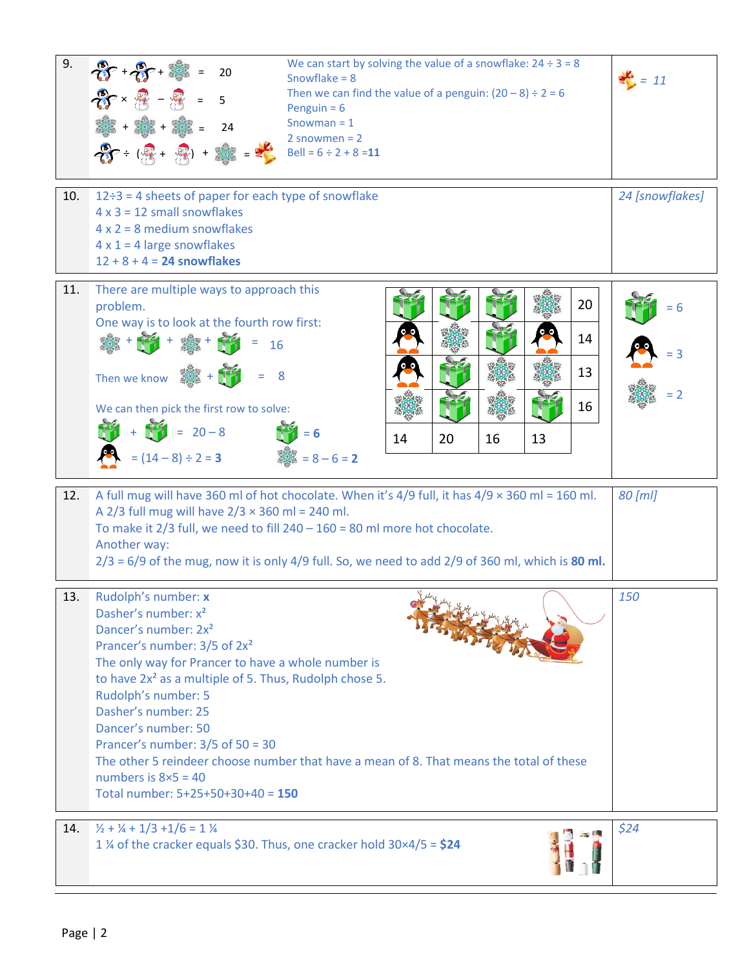